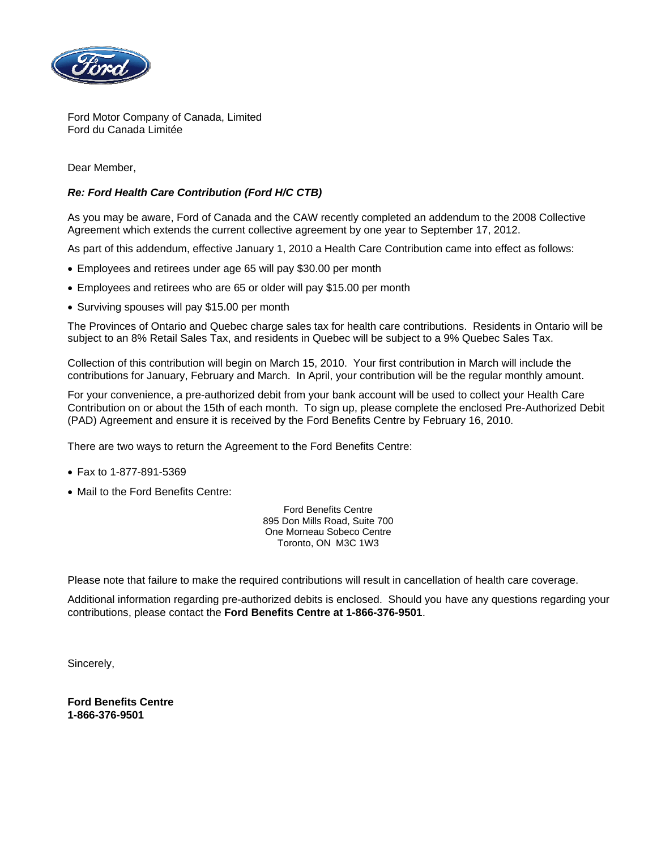

Ford Motor Company of Canada, Limited Ford du Canada Limitée

Dear Member,

## *Re: Ford Health Care Contribution (Ford H/C CTB)*

As you may be aware, Ford of Canada and the CAW recently completed an addendum to the 2008 Collective Agreement which extends the current collective agreement by one year to September 17, 2012.

As part of this addendum, effective January 1, 2010 a Health Care Contribution came into effect as follows:

- Employees and retirees under age 65 will pay \$30.00 per month
- Employees and retirees who are 65 or older will pay \$15.00 per month
- Surviving spouses will pay \$15.00 per month

The Provinces of Ontario and Quebec charge sales tax for health care contributions. Residents in Ontario will be subject to an 8% Retail Sales Tax, and residents in Quebec will be subject to a 9% Quebec Sales Tax.

Collection of this contribution will begin on March 15, 2010. Your first contribution in March will include the contributions for January, February and March. In April, your contribution will be the regular monthly amount.

For your convenience, a pre-authorized debit from your bank account will be used to collect your Health Care Contribution on or about the 15th of each month. To sign up, please complete the enclosed Pre-Authorized Debit (PAD) Agreement and ensure it is received by the Ford Benefits Centre by February 16, 2010.

There are two ways to return the Agreement to the Ford Benefits Centre:

- Fax to 1-877-891-5369
- Mail to the Ford Benefits Centre:

Ford Benefits Centre 895 Don Mills Road, Suite 700 One Morneau Sobeco Centre Toronto, ON M3C 1W3

Please note that failure to make the required contributions will result in cancellation of health care coverage.

Additional information regarding pre-authorized debits is enclosed. Should you have any questions regarding your contributions, please contact the **Ford Benefits Centre at 1-866-376-9501**.

Sincerely,

**Ford Benefits Centre 1-866-376-9501**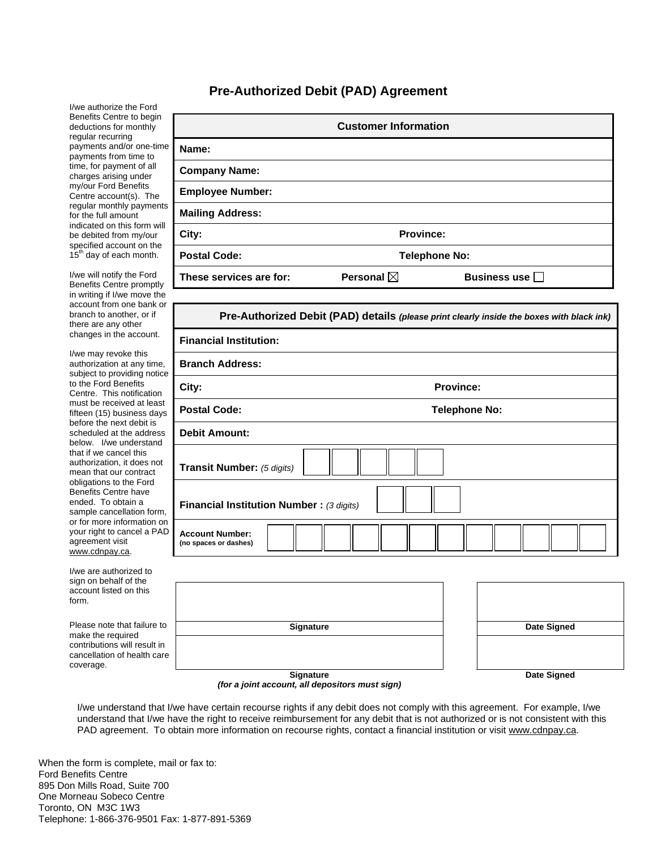## **Pre-Authorized Debit (PAD) Agreement**

I/we authorize the Ford Benefits Centre to begin deductions for monthly regular recurring payments and/or one-time payments from time to time, for payment of all charges arising under my/our Ford Benefits Centre account(s). The regular monthly payments for the full amount indicated on this form will be debited from my/our specified account on the 15<sup>th</sup> day of each month.

I/we will notify the Ford Benefits Centre promptly in writing if I/we move the account from one bank or branch to another, or if there are any other changes in the account.

I/we may revoke this authorization at any time, subject to providing notice to the Ford Benefits Centre. This notification must be received at least fifteen (15) business days before the next debit is scheduled at the address below. I/we understand that if we cancel this authorization, it does not mean that our contract obligations to the Ford Benefits Centre have ended. To obtain a sample cancellation form, or for more information on your right to cancel a PAD agreement visit www.cdnpay.ca.

I/we are authorized to sign on behalf of the account listed on this form.

Please note that failure to make the required contributions will result in cancellation of health care coverage.

| <b>Customer Information</b> |                      |              |  |  |  |  |  |
|-----------------------------|----------------------|--------------|--|--|--|--|--|
| Name:                       |                      |              |  |  |  |  |  |
| <b>Company Name:</b>        |                      |              |  |  |  |  |  |
| <b>Employee Number:</b>     |                      |              |  |  |  |  |  |
| <b>Mailing Address:</b>     |                      |              |  |  |  |  |  |
| City:                       | <b>Province:</b>     |              |  |  |  |  |  |
| <b>Postal Code:</b>         | <b>Telephone No:</b> |              |  |  |  |  |  |
| These services are for:     | Personal $\boxtimes$ | Business use |  |  |  |  |  |

| Pre-Authorized Debit (PAD) details (please print clearly inside the boxes with black ink) |                      |  |  |  |  |  |
|-------------------------------------------------------------------------------------------|----------------------|--|--|--|--|--|
| <b>Financial Institution:</b>                                                             |                      |  |  |  |  |  |
| <b>Branch Address:</b>                                                                    |                      |  |  |  |  |  |
| City:                                                                                     | <b>Province:</b>     |  |  |  |  |  |
| <b>Postal Code:</b>                                                                       | <b>Telephone No:</b> |  |  |  |  |  |
| <b>Debit Amount:</b>                                                                      |                      |  |  |  |  |  |
| Transit Number: (5 digits)                                                                |                      |  |  |  |  |  |
| Financial Institution Number: (3 digits)                                                  |                      |  |  |  |  |  |
| <b>Account Number:</b><br>(no spaces or dashes)                                           |                      |  |  |  |  |  |

|   | Signature | <b>Date Signed</b> |
|---|-----------|--------------------|
| e |           |                    |
|   | Signature | <b>Date Signed</b> |

*(for a joint account, all depositors must sign)*

I/we understand that I/we have certain recourse rights if any debit does not comply with this agreement. For example, I/we understand that I/we have the right to receive reimbursement for any debit that is not authorized or is not consistent with this PAD agreement. To obtain more information on recourse rights, contact a financial institution or visit www.cdnpay.ca.

When the form is complete, mail or fax to: Ford Benefits Centre 895 Don Mills Road, Suite 700 One Morneau Sobeco Centre Toronto, ON M3C 1W3 Telephone: 1-866-376-9501 Fax: 1-877-891-5369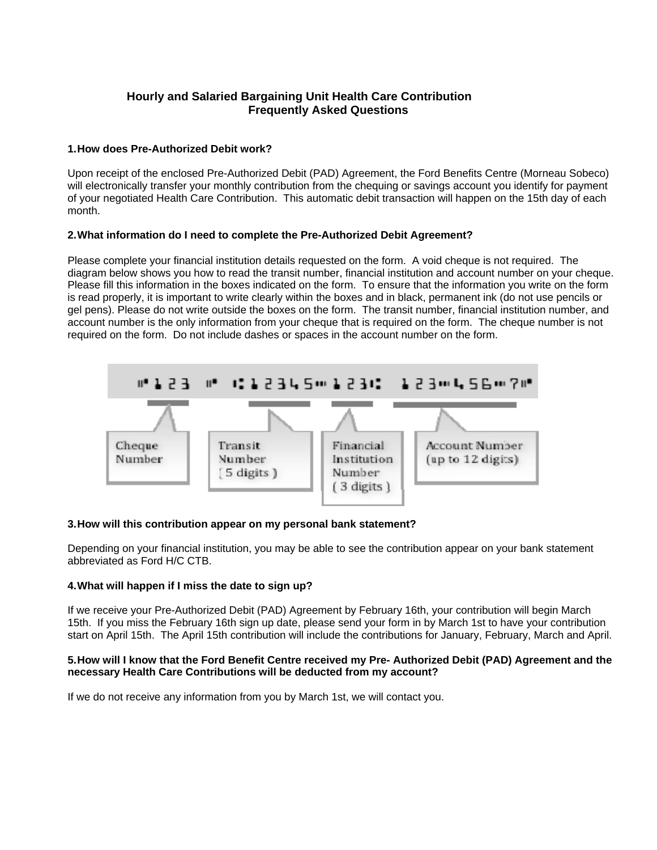# **Hourly and Salaried Bargaining Unit Health Care Contribution Frequently Asked Questions**

## **1. How does Pre-Authorized Debit work?**

Upon receipt of the enclosed Pre-Authorized Debit (PAD) Agreement, the Ford Benefits Centre (Morneau Sobeco) will electronically transfer your monthly contribution from the chequing or savings account you identify for payment of your negotiated Health Care Contribution. This automatic debit transaction will happen on the 15th day of each month.

### **2. What information do I need to complete the Pre-Authorized Debit Agreement?**

Please complete your financial institution details requested on the form. A void cheque is not required. The diagram below shows you how to read the transit number, financial institution and account number on your cheque. Please fill this information in the boxes indicated on the form. To ensure that the information you write on the form is read properly, it is important to write clearly within the boxes and in black, permanent ink (do not use pencils or gel pens). Please do not write outside the boxes on the form. The transit number, financial institution number, and account number is the only information from your cheque that is required on the form. The cheque number is not required on the form. Do not include dashes or spaces in the account number on the form.



#### **3. How will this contribution appear on my personal bank statement?**

Depending on your financial institution, you may be able to see the contribution appear on your bank statement abbreviated as Ford H/C CTB.

## **4. What will happen if I miss the date to sign up?**

If we receive your Pre-Authorized Debit (PAD) Agreement by February 16th, your contribution will begin March 15th. If you miss the February 16th sign up date, please send your form in by March 1st to have your contribution start on April 15th. The April 15th contribution will include the contributions for January, February, March and April.

#### **5. How will I know that the Ford Benefit Centre received my Pre- Authorized Debit (PAD) Agreement and the necessary Health Care Contributions will be deducted from my account?**

If we do not receive any information from you by March 1st, we will contact you.